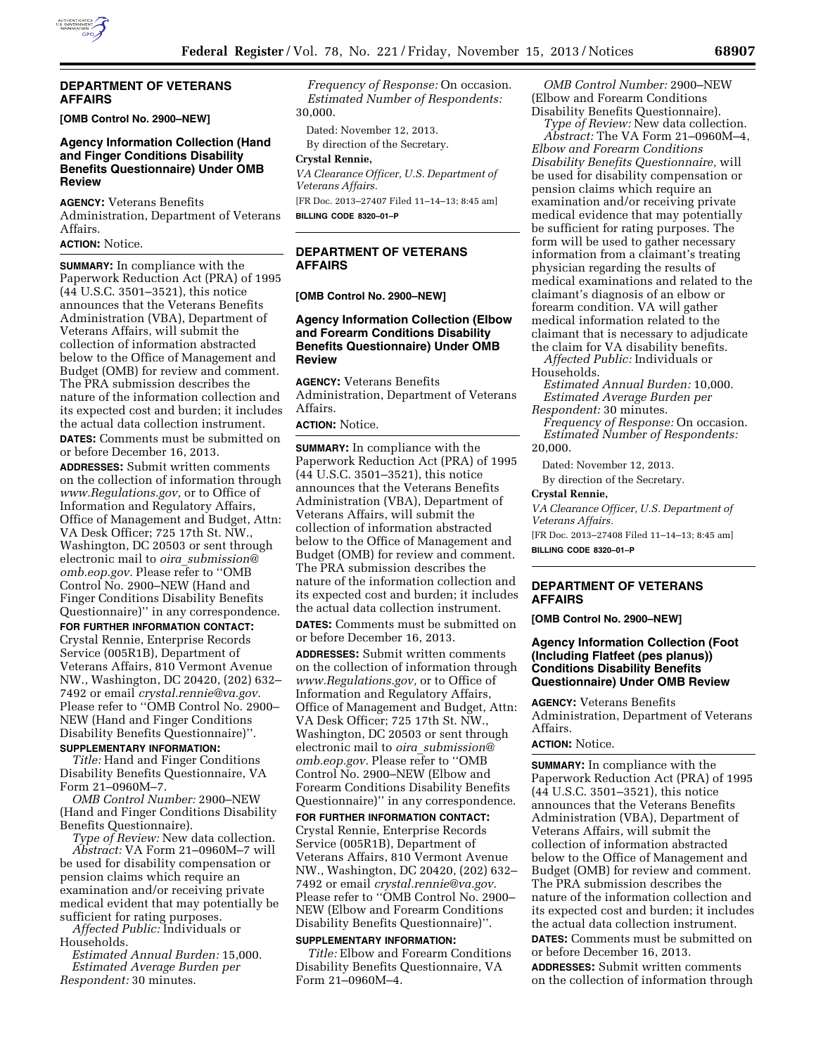

#### **DEPARTMENT OF VETERANS AFFAIRS**

**[OMB Control No. 2900–NEW]** 

## **Agency Information Collection (Hand and Finger Conditions Disability Benefits Questionnaire) Under OMB Review**

**AGENCY:** Veterans Benefits Administration, Department of Veterans Affairs.

**ACTION:** Notice.

**SUMMARY:** In compliance with the Paperwork Reduction Act (PRA) of 1995 (44 U.S.C. 3501–3521), this notice announces that the Veterans Benefits Administration (VBA), Department of Veterans Affairs, will submit the collection of information abstracted below to the Office of Management and Budget (OMB) for review and comment. The PRA submission describes the nature of the information collection and its expected cost and burden; it includes the actual data collection instrument.

**DATES:** Comments must be submitted on or before December 16, 2013.

**ADDRESSES:** Submit written comments on the collection of information through *[www.Regulations.gov,](http://www.Regulations.gov)* or to Office of Information and Regulatory Affairs, Office of Management and Budget, Attn: VA Desk Officer; 725 17th St. NW., Washington, DC 20503 or sent through electronic mail to *oira*\_*[submission@](mailto:oira_submission@omb.eop.gov) [omb.eop.gov.](mailto:oira_submission@omb.eop.gov)* Please refer to ''OMB Control No. 2900–NEW (Hand and Finger Conditions Disability Benefits Questionnaire)'' in any correspondence.

**FOR FURTHER INFORMATION CONTACT:**  Crystal Rennie, Enterprise Records Service (005R1B), Department of Veterans Affairs, 810 Vermont Avenue NW., Washington, DC 20420, (202) 632– 7492 or email *[crystal.rennie@va.gov.](mailto:crystal.rennie@va.gov)*  Please refer to ''OMB Control No. 2900– NEW (Hand and Finger Conditions Disability Benefits Questionnaire)''. **SUPPLEMENTARY INFORMATION:** 

*Title:* Hand and Finger Conditions Disability Benefits Questionnaire, VA Form 21–0960M–7.

*OMB Control Number:* 2900–NEW (Hand and Finger Conditions Disability Benefits Questionnaire).

*Type of Review:* New data collection. *Abstract:* VA Form 21–0960M–7 will be used for disability compensation or pension claims which require an examination and/or receiving private medical evident that may potentially be sufficient for rating purposes.

*Affected Public:* Individuals or Households.

*Estimated Annual Burden:* 15,000. *Estimated Average Burden per Respondent:* 30 minutes.

*Frequency of Response:* On occasion. *Estimated Number of Respondents:*  30,000.

Dated: November 12, 2013. By direction of the Secretary.

#### **Crystal Rennie,**

*VA Clearance Officer, U.S. Department of Veterans Affairs.* 

[FR Doc. 2013–27407 Filed 11–14–13; 8:45 am] **BILLING CODE 8320–01–P** 

## **DEPARTMENT OF VETERANS AFFAIRS**

**[OMB Control No. 2900–NEW]** 

## **Agency Information Collection (Elbow and Forearm Conditions Disability Benefits Questionnaire) Under OMB Review**

**AGENCY:** Veterans Benefits Administration, Department of Veterans Affairs.

**ACTION:** Notice.

**SUMMARY:** In compliance with the Paperwork Reduction Act (PRA) of 1995 (44 U.S.C. 3501–3521), this notice announces that the Veterans Benefits Administration (VBA), Department of Veterans Affairs, will submit the collection of information abstracted below to the Office of Management and Budget (OMB) for review and comment. The PRA submission describes the nature of the information collection and its expected cost and burden; it includes the actual data collection instrument.

**DATES:** Comments must be submitted on or before December 16, 2013.

**ADDRESSES:** Submit written comments on the collection of information through *[www.Regulations.gov,](http://www.Regulations.gov)* or to Office of Information and Regulatory Affairs, Office of Management and Budget, Attn: VA Desk Officer; 725 17th St. NW., Washington, DC 20503 or sent through electronic mail to *oira*\_*[submission@](mailto:oira_submission@omb.eop.gov) [omb.eop.gov.](mailto:oira_submission@omb.eop.gov)* Please refer to ''OMB Control No. 2900–NEW (Elbow and Forearm Conditions Disability Benefits Questionnaire)'' in any correspondence.

**FOR FURTHER INFORMATION CONTACT:**  Crystal Rennie, Enterprise Records Service (005R1B), Department of Veterans Affairs, 810 Vermont Avenue NW., Washington, DC 20420, (202) 632– 7492 or email *[crystal.rennie@va.gov.](mailto:crystal.rennie@va.gov)*  Please refer to ''OMB Control No. 2900– NEW (Elbow and Forearm Conditions Disability Benefits Questionnaire)''.

## **SUPPLEMENTARY INFORMATION:**

*Title:* Elbow and Forearm Conditions Disability Benefits Questionnaire, VA Form 21–0960M–4.

*OMB Control Number:* 2900–NEW (Elbow and Forearm Conditions Disability Benefits Questionnaire).

*Type of Review:* New data collection. *Abstract:* The VA Form 21–0960M–4, *Elbow and Forearm Conditions Disability Benefits Questionnaire,* will be used for disability compensation or pension claims which require an examination and/or receiving private medical evidence that may potentially be sufficient for rating purposes. The form will be used to gather necessary information from a claimant's treating physician regarding the results of medical examinations and related to the claimant's diagnosis of an elbow or forearm condition. VA will gather medical information related to the claimant that is necessary to adjudicate the claim for VA disability benefits.

*Affected Public:* Individuals or Households.

*Estimated Annual Burden:* 10,000. *Estimated Average Burden per* 

*Respondent:* 30 minutes.

*Frequency of Response:* On occasion. *Estimated Number of Respondents:*  20,000.

Dated: November 12, 2013.

By direction of the Secretary.

#### **Crystal Rennie,**

*VA Clearance Officer, U.S. Department of Veterans Affairs.* 

[FR Doc. 2013–27408 Filed 11–14–13; 8:45 am] **BILLING CODE 8320–01–P** 

## **DEPARTMENT OF VETERANS AFFAIRS**

**[OMB Control No. 2900–NEW]** 

## **Agency Information Collection (Foot (Including Flatfeet (pes planus)) Conditions Disability Benefits Questionnaire) Under OMB Review**

**AGENCY:** Veterans Benefits Administration, Department of Veterans Affairs.

## **ACTION:** Notice.

**SUMMARY:** In compliance with the Paperwork Reduction Act (PRA) of 1995 (44 U.S.C. 3501–3521), this notice announces that the Veterans Benefits Administration (VBA), Department of Veterans Affairs, will submit the collection of information abstracted below to the Office of Management and Budget (OMB) for review and comment. The PRA submission describes the nature of the information collection and its expected cost and burden; it includes the actual data collection instrument. **DATES:** Comments must be submitted on or before December 16, 2013. **ADDRESSES:** Submit written comments on the collection of information through